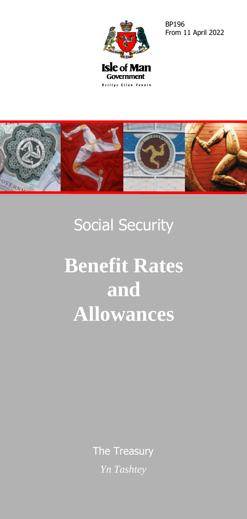

BP196 From 11 April 2022



# Social Security

# **Benefit Rates and Allowances**

The Treasury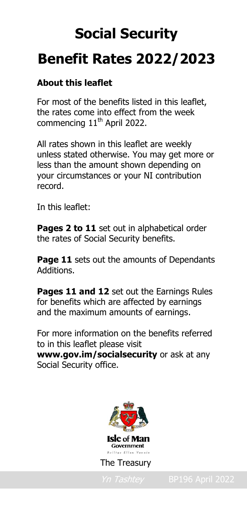# **Social Security Benefit Rates 2022/2023**

#### **About this leaflet**

For most of the benefits listed in this leaflet, the rates come into effect from the week commencing 11<sup>th</sup> April 2022.

All rates shown in this leaflet are weekly unless stated otherwise. You may get more or less than the amount shown depending on your circumstances or your NI contribution record.

In this leaflet:

**Pages 2 to 11** set out in alphabetical order the rates of Social Security benefits.

**Page 11** sets out the amounts of Dependants Additions.

**Pages 11 and 12** set out the Earnings Rules for benefits which are affected by earnings and the maximum amounts of earnings.

For more information on the benefits referred to in this leaflet please visit **www.gov.im/socialsecurity** or ask at any Social Security office.

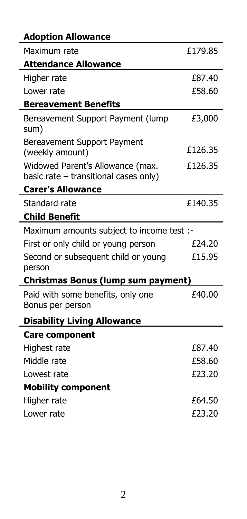| <b>Adoption Allowance</b>                                                   |         |
|-----------------------------------------------------------------------------|---------|
| Maximum rate                                                                | £179.85 |
| <b>Attendance Allowance</b>                                                 |         |
| Higher rate                                                                 | £87.40  |
| Lower rate                                                                  | £58.60  |
| <b>Bereavement Benefits</b>                                                 |         |
| Bereavement Support Payment (lump<br>sum)                                   | £3,000  |
| Bereavement Support Payment<br>(weekly amount)                              | £126.35 |
| Widowed Parent's Allowance (max.<br>basic rate $-$ transitional cases only) | £126.35 |
| <b>Carer's Allowance</b>                                                    |         |
| Standard rate                                                               | £140.35 |
| <b>Child Benefit</b>                                                        |         |
| Maximum amounts subject to income test :-                                   |         |
| First or only child or young person                                         | £24.20  |
| Second or subsequent child or young<br>person                               | £15.95  |
| <b>Christmas Bonus (lump sum payment)</b>                                   |         |
| Paid with some benefits, only one<br>Bonus per person                       | £40.00  |
| <b>Disability Living Allowance</b>                                          |         |
| <b>Care component</b>                                                       |         |
| Highest rate                                                                | £87.40  |
| Middle rate                                                                 | £58.60  |
| Lowest rate                                                                 | £23.20  |
| <b>Mobility component</b>                                                   |         |
| Higher rate                                                                 | £64.50  |
| Lower rate                                                                  | £23.20  |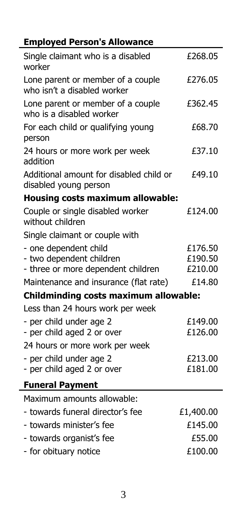| <b>Employed Person's Allowance</b>                               |           |
|------------------------------------------------------------------|-----------|
| Single claimant who is a disabled<br>worker                      | £268.05   |
| Lone parent or member of a couple<br>who isn't a disabled worker | £276.05   |
| Lone parent or member of a couple<br>who is a disabled worker    | £362.45   |
| For each child or qualifying young<br>person                     | £68.70    |
| 24 hours or more work per week<br>addition                       | £37.10    |
| Additional amount for disabled child or<br>disabled young person | £49.10    |
| <b>Housing costs maximum allowable:</b>                          |           |
| Couple or single disabled worker<br>without children             | £124.00   |
| Single claimant or couple with                                   |           |
| - one dependent child                                            | £176.50   |
| - two dependent children                                         | £190.50   |
| - three or more dependent children                               | £210.00   |
| Maintenance and insurance (flat rate)                            | £14.80    |
| <b>Childminding costs maximum allowable:</b>                     |           |
| Less than 24 hours work per week                                 |           |
| - per child under age 2                                          | £149.00   |
| - per child aged 2 or over                                       | £126.00   |
| 24 hours or more work per week                                   |           |
| - per child under age 2                                          | £213.00   |
| - per child aged 2 or over                                       | £181.00   |
| <b>Funeral Payment</b>                                           |           |
| Maximum amounts allowable:                                       |           |
| - towards funeral director's fee                                 | £1,400.00 |
| - towards minister's fee                                         | £145.00   |
| - towards organist's fee                                         | £55.00    |
| - for obituary notice                                            | £100.00   |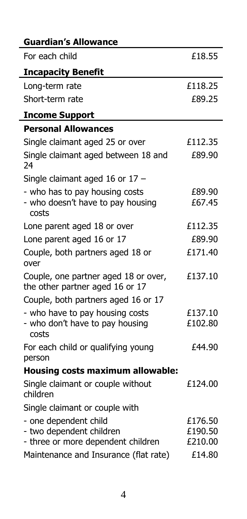| <b>Guardian's Allowance</b>                                             |         |
|-------------------------------------------------------------------------|---------|
| For each child                                                          | £18.55  |
| <b>Incapacity Benefit</b>                                               |         |
| Long-term rate                                                          | £118.25 |
| Short-term rate                                                         | £89.25  |
| <b>Income Support</b>                                                   |         |
| <b>Personal Allowances</b>                                              |         |
| Single claimant aged 25 or over                                         | £112.35 |
| Single claimant aged between 18 and<br>24                               | £89.90  |
| Single claimant aged 16 or $17 -$                                       |         |
| - who has to pay housing costs                                          | £89.90  |
| - who doesn't have to pay housing<br>costs                              | £67.45  |
| Lone parent aged 18 or over                                             | £112.35 |
| Lone parent aged 16 or 17                                               | £89.90  |
| Couple, both partners aged 18 or<br>over                                | £171.40 |
| Couple, one partner aged 18 or over,<br>the other partner aged 16 or 17 | £137.10 |
| Couple, both partners aged 16 or 17                                     |         |
| - who have to pay housing costs                                         | £137.10 |
| - who don't have to pay housing<br>costs                                | £102.80 |
| For each child or qualifying young<br>person                            | £44.90  |
| <b>Housing costs maximum allowable:</b>                                 |         |
| Single claimant or couple without<br>children                           | £124.00 |
| Single claimant or couple with                                          |         |
| - one dependent child                                                   | £176.50 |
| - two dependent children                                                | £190.50 |
| - three or more dependent children                                      | £210.00 |
| Maintenance and Insurance (flat rate)                                   | £14.80  |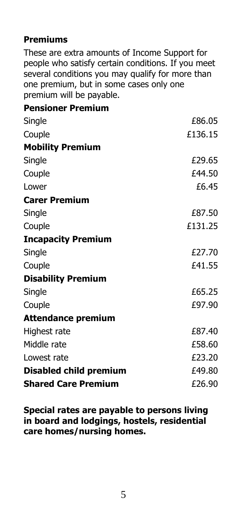#### **Premiums**

These are extra amounts of Income Support for people who satisfy certain conditions. If you meet several conditions you may qualify for more than one premium, but in some cases only one premium will be payable.

| <b>Pensioner Premium</b>      |         |
|-------------------------------|---------|
| Single                        | £86.05  |
| Couple                        | £136.15 |
| <b>Mobility Premium</b>       |         |
| Single                        | £29.65  |
| Couple                        | £44.50  |
| Lower                         | £6.45   |
| <b>Carer Premium</b>          |         |
| Single                        | £87.50  |
| Couple                        | £131.25 |
| <b>Incapacity Premium</b>     |         |
| Single                        | £27.70  |
| Couple                        | £41.55  |
| <b>Disability Premium</b>     |         |
| Single                        | £65.25  |
| Couple                        | £97.90  |
| <b>Attendance premium</b>     |         |
| Highest rate                  | £87.40  |
| Middle rate                   | £58.60  |
| Lowest rate                   | £23.20  |
| <b>Disabled child premium</b> | £49.80  |
| <b>Shared Care Premium</b>    | £26.90  |

**Special rates are payable to persons living in board and lodgings, hostels, residential care homes/nursing homes.**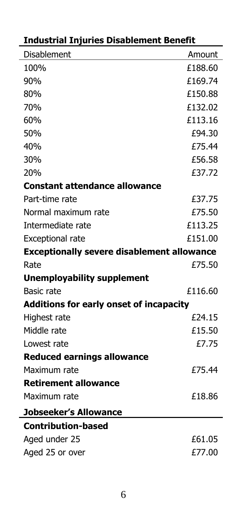| aastriar Injuries Disablement Denent              |         |
|---------------------------------------------------|---------|
| Disablement                                       | Amount  |
| 100%                                              | £188.60 |
| 90%                                               | £169.74 |
| 80%                                               | £150.88 |
| 70%                                               | £132.02 |
| 60%                                               | £113.16 |
| 50%                                               | £94.30  |
| 40%                                               | £75.44  |
| 30%                                               | £56.58  |
| 20%                                               | £37.72  |
| <b>Constant attendance allowance</b>              |         |
| Part-time rate                                    | £37.75  |
| Normal maximum rate                               | £75.50  |
| Intermediate rate                                 | £113.25 |
| <b>Exceptional rate</b>                           | £151.00 |
| <b>Exceptionally severe disablement allowance</b> |         |
| Rate                                              | £75.50  |
| <b>Unemployability supplement</b>                 |         |
| <b>Basic rate</b>                                 | £116.60 |
| Additions for early onset of incapacity           |         |
| Highest rate                                      | £24.15  |
| Middle rate                                       | £15.50  |
| Lowest rate                                       | £7.75   |
| <b>Reduced earnings allowance</b>                 |         |
| Maximum rate                                      | £75.44  |
| <b>Retirement allowance</b>                       |         |
| Maximum rate                                      | £18.86  |
| <b>Jobseeker's Allowance</b>                      |         |
| <b>Contribution-based</b>                         |         |
| Aged under 25                                     | £61.05  |
| Aged 25 or over                                   | £77.00  |

#### **Industrial Injuries Disablement Benefit**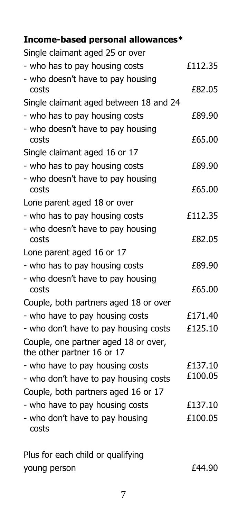### **Income-based personal allowances\***

| Single claimant aged 25 or over                                    |         |
|--------------------------------------------------------------------|---------|
| - who has to pay housing costs                                     | £112.35 |
| - who doesn't have to pay housing<br>costs                         | £82.05  |
| Single claimant aged between 18 and 24                             |         |
| - who has to pay housing costs                                     | £89.90  |
| - who doesn't have to pay housing<br>costs                         | £65.00  |
| Single claimant aged 16 or 17                                      |         |
| - who has to pay housing costs                                     | £89.90  |
| - who doesn't have to pay housing<br>costs                         | £65.00  |
| Lone parent aged 18 or over                                        |         |
| - who has to pay housing costs                                     | £112.35 |
| - who doesn't have to pay housing<br>costs                         | £82.05  |
| Lone parent aged 16 or 17                                          |         |
| - who has to pay housing costs                                     | £89.90  |
| - who doesn't have to pay housing<br>costs                         | £65.00  |
| Couple, both partners aged 18 or over                              |         |
| - who have to pay housing costs                                    | £171.40 |
| - who don't have to pay housing costs                              | £125.10 |
| Couple, one partner aged 18 or over,<br>the other partner 16 or 17 |         |
| - who have to pay housing costs                                    | £137.10 |
| - who don't have to pay housing costs                              | £100.05 |
| Couple, both partners aged 16 or 17                                |         |
| - who have to pay housing costs                                    | £137.10 |
| - who don't have to pay housing<br>costs                           | £100.05 |
| Plus for each child or qualifying                                  |         |
| young person                                                       | £44.90  |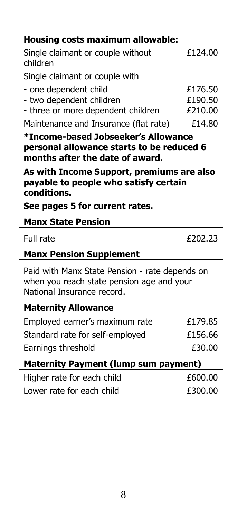### **Housing costs maximum allowable:**

| Single claimant or couple without<br>children                                                                             | £124.00 |
|---------------------------------------------------------------------------------------------------------------------------|---------|
| Single claimant or couple with                                                                                            |         |
| - one dependent child                                                                                                     | £176.50 |
| - two dependent children                                                                                                  | £190.50 |
| - three or more dependent children                                                                                        | £210.00 |
| Maintenance and Insurance (flat rate)                                                                                     | £14.80  |
| *Income-based Jobseeker's Allowance<br>personal allowance starts to be reduced 6<br>months after the date of award.       |         |
| As with Income Support, premiums are also<br>payable to people who satisfy certain<br>conditions.                         |         |
| See pages 5 for current rates.                                                                                            |         |
|                                                                                                                           |         |
| <b>Manx State Pension</b>                                                                                                 |         |
| Full rate                                                                                                                 | £202.23 |
| <b>Manx Pension Supplement</b>                                                                                            |         |
| Paid with Manx State Pension - rate depends on<br>when you reach state pension age and your<br>National Insurance record. |         |
| <b>Maternity Allowance</b>                                                                                                |         |
| Employed earner's maximum rate                                                                                            | £179.85 |
| Standard rate for self-employed                                                                                           | £156.66 |
| Earnings threshold                                                                                                        | £30.00  |
| <b>Maternity Payment (lump sum payment)</b>                                                                               |         |
| Higher rate for each child                                                                                                | £600.00 |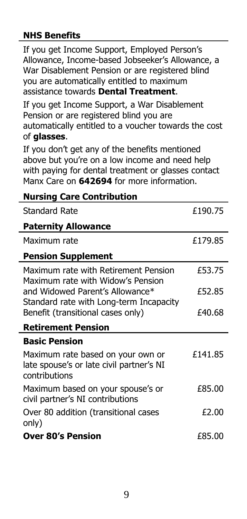#### **NHS Benefits**

If you get Income Support, Employed Person's Allowance, Income-based Jobseeker's Allowance, a War Disablement Pension or are registered blind you are automatically entitled to maximum assistance towards **Dental Treatment**.

If you get Income Support, a War Disablement Pension or are registered blind you are automatically entitled to a voucher towards the cost of **glasses**.

If you don't get any of the benefits mentioned above but you're on a low income and need help with paying for dental treatment or glasses contact Manx Care on **642694** for more information.

| £190.75 |
|---------|
|         |
| £179.85 |
|         |
| £53.75  |
| £52.85  |
| £40.68  |
|         |
|         |
| £141.85 |
| £85.00  |
| £2.00   |
| £85.00  |
|         |

**Nursing Care Contribution**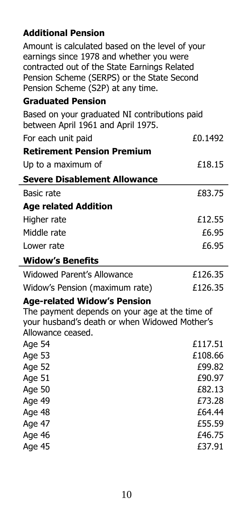#### **Additional Pension**

Amount is calculated based on the level of your earnings since 1978 and whether you were contracted out of the State Earnings Related Pension Scheme (SERPS) or the State Second Pension Scheme (S2P) at any time.

#### **Graduated Pension**

| Based on your graduated NI contributions paid |
|-----------------------------------------------|
| £0.1492                                       |
|                                               |
| £18.15                                        |
|                                               |
| £83.75                                        |
|                                               |
| £12.55                                        |
| £6.95                                         |
| £6.95                                         |
|                                               |
| £126.35                                       |
| £126.35                                       |
|                                               |

#### **Age-related Widow's Pension**

The payment depends on your age at the time of your husband's death or when Widowed Mother's Allowance ceased.

| Age 54        | £117.51 |
|---------------|---------|
| Age 53        | £108.66 |
| Age 52        | £99.82  |
| Age 51        | £90.97  |
| Age 50        | £82.13  |
| Age 49        | £73.28  |
| Age 48        | £64.44  |
| Age 47        | £55.59  |
| <b>Age 46</b> | £46.75  |
| <b>Age 45</b> | £37.91  |
|               |         |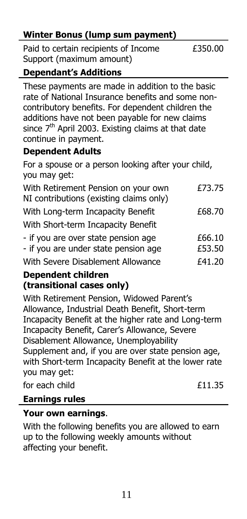#### **Winter Bonus (lump sum payment)**

Paid to certain recipients of Income Support (maximum amount)

£350.00

#### **Dependant's Additions**

These payments are made in addition to the basic rate of National Insurance benefits and some noncontributory benefits. For dependent children the additions have not been payable for new claims since  $7<sup>th</sup>$  April 2003. Existing claims at that date continue in payment.

#### **Dependent Adults**

For a spouse or a person looking after your child, you may get:

| With Retirement Pension on your own<br>NI contributions (existing claims only) | £73.75           |
|--------------------------------------------------------------------------------|------------------|
| With Long-term Incapacity Benefit                                              | £68.70           |
| With Short-term Incapacity Benefit                                             |                  |
| - if you are over state pension age<br>- if you are under state pension age    | £66.10<br>£53.50 |
| With Severe Disablement Allowance                                              | £41.20           |

#### **Dependent children (transitional cases only)**

With Retirement Pension, Widowed Parent's Allowance, Industrial Death Benefit, Short-term Incapacity Benefit at the higher rate and Long-term Incapacity Benefit, Carer's Allowance, Severe Disablement Allowance, Unemployability Supplement and, if you are over state pension age, with Short-term Incapacity Benefit at the lower rate you may get:

for each child  $£11.35$ 

#### **Earnings rules**

#### **Your own earnings**.

With the following benefits you are allowed to earn up to the following weekly amounts without affecting your benefit.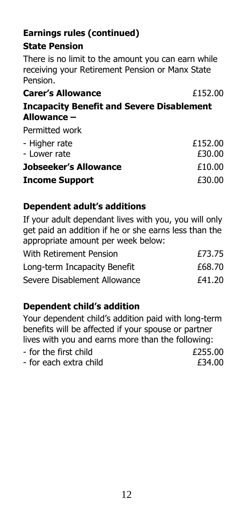## **Earnings rules (continued)**

#### **State Pension**

There is no limit to the amount you can earn while receiving your Retirement Pension or Manx State Pension.

| <b>Carer's Allowance</b>                         | £152.00 |
|--------------------------------------------------|---------|
| <b>Incapacity Benefit and Severe Disablement</b> |         |
| Allowance –                                      |         |

Permitted work

| - Higher rate<br>- Lower rate | £152.00<br>£30.00 |
|-------------------------------|-------------------|
| Jobseeker's Allowance         | £10.00            |
| <b>Income Support</b>         | £30.00            |

#### **Dependent adult's additions**

If your adult dependant lives with you, you will only get paid an addition if he or she earns less than the appropriate amount per week below:

| With Retirement Pension      | £73.75 |
|------------------------------|--------|
| Long-term Incapacity Benefit | £68.70 |
| Severe Disablement Allowance | £41.20 |

#### **Dependent child's addition**

Your dependent child's addition paid with long-term benefits will be affected if your spouse or partner lives with you and earns more than the following:

| - for the first child  | £255.00 |
|------------------------|---------|
| - for each extra child | £34.00  |